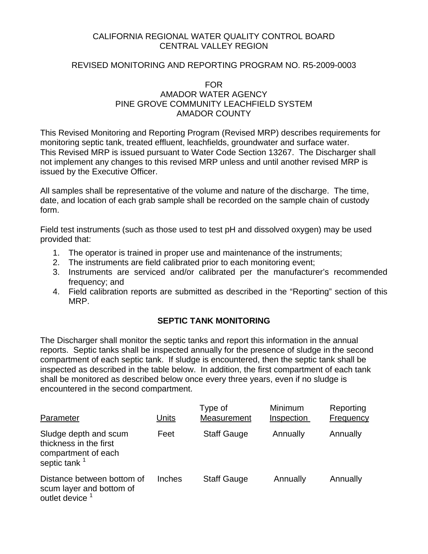### CALIFORNIA REGIONAL WATER QUALITY CONTROL BOARD CENTRAL VALLEY REGION

#### REVISED MONITORING AND REPORTING PROGRAM NO. R5-2009-0003

#### FOR AMADOR WATER AGENCY PINE GROVE COMMUNITY LEACHFIELD SYSTEM AMADOR COUNTY

This Revised Monitoring and Reporting Program (Revised MRP) describes requirements for monitoring septic tank, treated effluent, leachfields, groundwater and surface water. This Revised MRP is issued pursuant to Water Code Section 13267. The Discharger shall not implement any changes to this revised MRP unless and until another revised MRP is issued by the Executive Officer.

All samples shall be representative of the volume and nature of the discharge. The time, date, and location of each grab sample shall be recorded on the sample chain of custody form.

Field test instruments (such as those used to test pH and dissolved oxygen) may be used provided that:

- 1. The operator is trained in proper use and maintenance of the instruments;
- 2. The instruments are field calibrated prior to each monitoring event;
- 3. Instruments are serviced and/or calibrated per the manufacturer's recommended frequency; and
- 4. Field calibration reports are submitted as described in the "Reporting" section of this MRP.

#### **SEPTIC TANK MONITORING**

The Discharger shall monitor the septic tanks and report this information in the annual reports. Septic tanks shall be inspected annually for the presence of sludge in the second compartment of each septic tank. If sludge is encountered, then the septic tank shall be inspected as described in the table below. In addition, the first compartment of each tank shall be monitored as described below once every three years, even if no sludge is encountered in the second compartment.

| Parameter                                                                                          | Units  | Type of<br>Measurement | Minimum<br>Inspection | Reporting<br>Frequency |
|----------------------------------------------------------------------------------------------------|--------|------------------------|-----------------------|------------------------|
| Sludge depth and scum<br>thickness in the first<br>compartment of each<br>septic tank <sup>1</sup> | Feet   | <b>Staff Gauge</b>     | Annually              | Annually               |
| Distance between bottom of<br>scum layer and bottom of<br>outlet device                            | Inches | <b>Staff Gauge</b>     | Annually              | Annually               |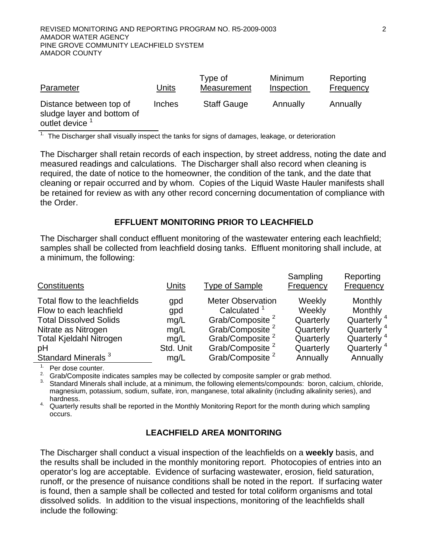| Parameter                                                                           | Units         | Type of<br>Measurement | Minimum<br>Inspection | Reporting<br><b>Frequency</b> |
|-------------------------------------------------------------------------------------|---------------|------------------------|-----------------------|-------------------------------|
| Distance between top of<br>sludge layer and bottom of<br>outlet device <sup>1</sup> | <b>Inches</b> | <b>Staff Gauge</b>     | Annually              | Annually                      |

 $1$ . The Discharger shall visually inspect the tanks for signs of damages, leakage, or deterioration

The Discharger shall retain records of each inspection, by street address, noting the date and measured readings and calculations. The Discharger shall also record when cleaning is required, the date of notice to the homeowner, the condition of the tank, and the date that cleaning or repair occurred and by whom. Copies of the Liquid Waste Hauler manifests shall be retained for review as with any other record concerning documentation of compliance with the Order.

#### **EFFLUENT MONITORING PRIOR TO LEACHFIELD**

The Discharger shall conduct effluent monitoring of the wastewater entering each leachfield; samples shall be collected from leachfield dosing tanks. Effluent monitoring shall include, at a minimum, the following:

| Constituents                   | Units     | <b>Type of Sample</b>       | Sampling<br>Frequency | Reporting<br>Frequency |
|--------------------------------|-----------|-----------------------------|-----------------------|------------------------|
| Total flow to the leachfields  | gpd       | <b>Meter Observation</b>    | Weekly                | Monthly                |
| Flow to each leachfield        | gpd       | Calculated <sup>1</sup>     | Weekly                | Monthly                |
| <b>Total Dissolved Solids</b>  | mg/L      | Grab/Composite <sup>2</sup> | Quarterly             | Quarterly <sup>4</sup> |
| Nitrate as Nitrogen            | mg/L      | Grab/Composite <sup>2</sup> | Quarterly             | Quarterly <sup>4</sup> |
| <b>Total Kjeldahl Nitrogen</b> | mq/L      | Grab/Composite <sup>2</sup> | Quarterly             | Quarterly <sup>4</sup> |
| pH                             | Std. Unit | Grab/Composite <sup>2</sup> | Quarterly             | Quarterly <sup>4</sup> |
| Standard Minerals <sup>3</sup> | mg/L      | Grab/Composite <sup>2</sup> | Annually              | Annually               |

<sup>1.</sup> Per dose counter.

<sup>2.</sup> Grab/Composite indicates samples may be collected by composite sampler or grab method.

<sup>3.</sup> Standard Minerals shall include, at a minimum, the following elements/compounds: boron, calcium, chloride, magnesium, potassium, sodium, sulfate, iron, manganese, total alkalinity (including alkalinity series), and hardness.

<sup>4.</sup> Quarterly results shall be reported in the Monthly Monitoring Report for the month during which sampling occurs.

#### **LEACHFIELD AREA MONITORING**

The Discharger shall conduct a visual inspection of the leachfields on a **weekly** basis, and the results shall be included in the monthly monitoring report. Photocopies of entries into an operator's log are acceptable. Evidence of surfacing wastewater, erosion, field saturation, runoff, or the presence of nuisance conditions shall be noted in the report. If surfacing water is found, then a sample shall be collected and tested for total coliform organisms and total dissolved solids. In addition to the visual inspections, monitoring of the leachfields shall include the following: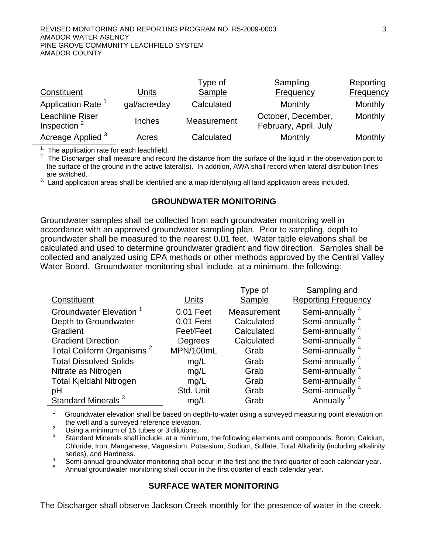| Constituent                                | Units         | Type of<br><b>Sample</b> | Sampling<br><b>Frequency</b>                | Reporting<br><b>Frequency</b> |
|--------------------------------------------|---------------|--------------------------|---------------------------------------------|-------------------------------|
| Application Rate <sup>1</sup>              | gal/acre•day  | Calculated               | <b>Monthly</b>                              | Monthly                       |
| Leachline Riser<br>Inspection <sup>2</sup> | <b>Inches</b> | Measurement              | October, December,<br>February, April, July | Monthly                       |
| Acreage Applied <sup>3</sup>               | Acres         | Calculated               | Monthly                                     | Monthly                       |

 $1$ . The application rate for each leachfield.

<sup>2.</sup> The Discharger shall measure and record the distance from the surface of the liquid in the observation port to the surface of the ground in the active lateral(s). In addition, AWA shall record when lateral distribution lines are switched.

 $3.$  Land application areas shall be identified and a map identifying all land application areas included.

#### **GROUNDWATER MONITORING**

Groundwater samples shall be collected from each groundwater monitoring well in accordance with an approved groundwater sampling plan. Prior to sampling, depth to groundwater shall be measured to the nearest 0.01 feet. Water table elevations shall be calculated and used to determine groundwater gradient and flow direction. Samples shall be collected and analyzed using EPA methods or other methods approved by the Central Valley Water Board. Groundwater monitoring shall include, at a minimum, the following:

|                                       |           | Type of     | Sampling and               |
|---------------------------------------|-----------|-------------|----------------------------|
| Constituent                           | Units     | Sample      | <b>Reporting Frequency</b> |
| Groundwater Elevation <sup>1</sup>    | 0.01 Feet | Measurement | Semi-annually <sup>4</sup> |
| Depth to Groundwater                  | 0.01 Feet | Calculated  | Semi-annually <sup>4</sup> |
| Gradient                              | Feet/Feet | Calculated  | Semi-annually <sup>4</sup> |
| <b>Gradient Direction</b>             | Degrees   | Calculated  | Semi-annually <sup>4</sup> |
| Total Coliform Organisms <sup>2</sup> | MPN/100mL | Grab        | Semi-annually <sup>4</sup> |
| <b>Total Dissolved Solids</b>         | mg/L      | Grab        | Semi-annually <sup>4</sup> |
| Nitrate as Nitrogen                   | mg/L      | Grab        | Semi-annually <sup>4</sup> |
| <b>Total Kjeldahl Nitrogen</b>        | mg/L      | Grab        | Semi-annually <sup>4</sup> |
| pH                                    | Std. Unit | Grab        | Semi-annually <sup>4</sup> |
| Standard Minerals <sup>3</sup>        | mg/L      | Grab        | Annually                   |

<sup>1.</sup> Groundwater elevation shall be based on depth-to-water using a surveyed measuring point elevation on

the well and a surveyed reference elevation.<br><sup>2.</sup> Using a minimum of 15 tubes or 3 dilutions.

3. Standard Minerals shall include, at a minimum, the following elements and compounds: Boron, Calcium, Chloride, Iron, Manganese, Magnesium, Potassium, Sodium, Sulfate, Total Alkalinity (including alkalinity

series), and Hardness.<br>
4. Semi-annual groundwater monitoring shall occur in the first and the third quarter of each calendar year.<br>
5. Annual groundwater monitoring shall occur in the first quarter of each calendar year.

#### **SURFACE WATER MONITORING**

The Discharger shall observe Jackson Creek monthly for the presence of water in the creek.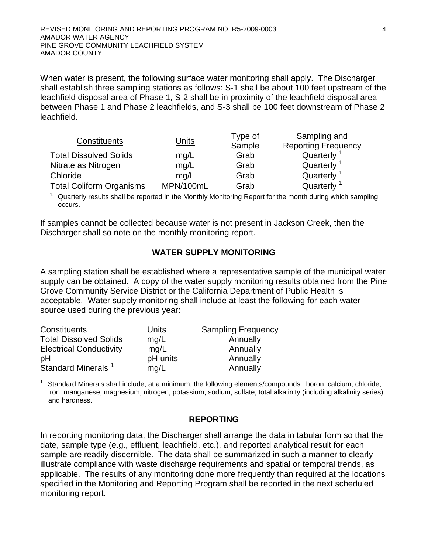When water is present, the following surface water monitoring shall apply. The Discharger shall establish three sampling stations as follows: S-1 shall be about 100 feet upstream of the leachfield disposal area of Phase 1, S-2 shall be in proximity of the leachfield disposal area between Phase 1 and Phase 2 leachfields, and S-3 shall be 100 feet downstream of Phase 2 leachfield.

| Constituents                    | Units     | Type of | Sampling and               |  |
|---------------------------------|-----------|---------|----------------------------|--|
|                                 |           | Sample  | <b>Reporting Frequency</b> |  |
| <b>Total Dissolved Solids</b>   | mq/L      | Grab    | Quarterly                  |  |
| Nitrate as Nitrogen             | mq/L      | Grab    | Quarterly <sup>1</sup>     |  |
| Chloride                        | mq/L      | Grab    | Quarterly                  |  |
| <b>Total Coliform Organisms</b> | MPN/100mL | Grab    | Quarterly                  |  |

<sup>1.</sup> Quarterly results shall be reported in the Monthly Monitoring Report for the month during which sampling occurs.

If samples cannot be collected because water is not present in Jackson Creek, then the Discharger shall so note on the monthly monitoring report.

#### **WATER SUPPLY MONITORING**

A sampling station shall be established where a representative sample of the municipal water supply can be obtained. A copy of the water supply monitoring results obtained from the Pine Grove Community Service District or the California Department of Public Health is acceptable. Water supply monitoring shall include at least the following for each water source used during the previous year:

| Constituents                   | Units    | <b>Sampling Frequency</b> |
|--------------------------------|----------|---------------------------|
| <b>Total Dissolved Solids</b>  | mq/L     | Annually                  |
| <b>Electrical Conductivity</b> | mq/L     | Annually                  |
| pH                             | pH units | Annually                  |
| Standard Minerals <sup>1</sup> | mq/L     | Annually                  |

1. Standard Minerals shall include, at a minimum, the following elements/compounds: boron, calcium, chloride, iron, manganese, magnesium, nitrogen, potassium, sodium, sulfate, total alkalinity (including alkalinity series), and hardness.

#### **REPORTING**

In reporting monitoring data, the Discharger shall arrange the data in tabular form so that the date, sample type (e.g., effluent, leachfield, etc.), and reported analytical result for each sample are readily discernible. The data shall be summarized in such a manner to clearly illustrate compliance with waste discharge requirements and spatial or temporal trends, as applicable. The results of any monitoring done more frequently than required at the locations specified in the Monitoring and Reporting Program shall be reported in the next scheduled monitoring report.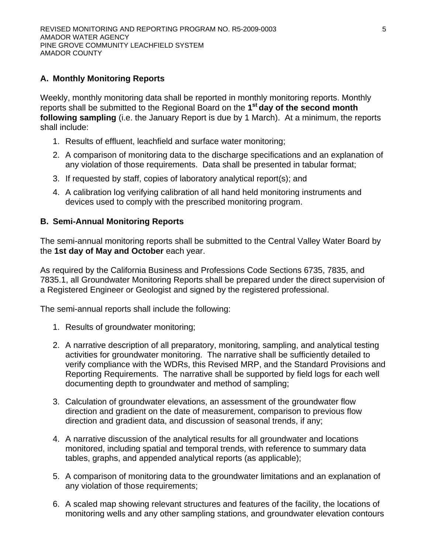# **A. Monthly Monitoring Reports**

Weekly, monthly monitoring data shall be reported in monthly monitoring reports. Monthly reports shall be submitted to the Regional Board on the **1st day of the second month following sampling** (i.e. the January Report is due by 1 March). At a minimum, the reports shall include:

- 1. Results of effluent, leachfield and surface water monitoring;
- 2. A comparison of monitoring data to the discharge specifications and an explanation of any violation of those requirements. Data shall be presented in tabular format;
- 3. If requested by staff, copies of laboratory analytical report(s); and
- 4. A calibration log verifying calibration of all hand held monitoring instruments and devices used to comply with the prescribed monitoring program.

# **B. Semi-Annual Monitoring Reports**

The semi-annual monitoring reports shall be submitted to the Central Valley Water Board by the **1st day of May and October** each year.

As required by the California Business and Professions Code Sections 6735, 7835, and 7835.1, all Groundwater Monitoring Reports shall be prepared under the direct supervision of a Registered Engineer or Geologist and signed by the registered professional.

The semi-annual reports shall include the following:

- 1. Results of groundwater monitoring;
- 2. A narrative description of all preparatory, monitoring, sampling, and analytical testing activities for groundwater monitoring. The narrative shall be sufficiently detailed to verify compliance with the WDRs, this Revised MRP, and the Standard Provisions and Reporting Requirements. The narrative shall be supported by field logs for each well documenting depth to groundwater and method of sampling;
- 3. Calculation of groundwater elevations, an assessment of the groundwater flow direction and gradient on the date of measurement, comparison to previous flow direction and gradient data, and discussion of seasonal trends, if any;
- 4. A narrative discussion of the analytical results for all groundwater and locations monitored, including spatial and temporal trends, with reference to summary data tables, graphs, and appended analytical reports (as applicable);
- 5. A comparison of monitoring data to the groundwater limitations and an explanation of any violation of those requirements;
- 6. A scaled map showing relevant structures and features of the facility, the locations of monitoring wells and any other sampling stations, and groundwater elevation contours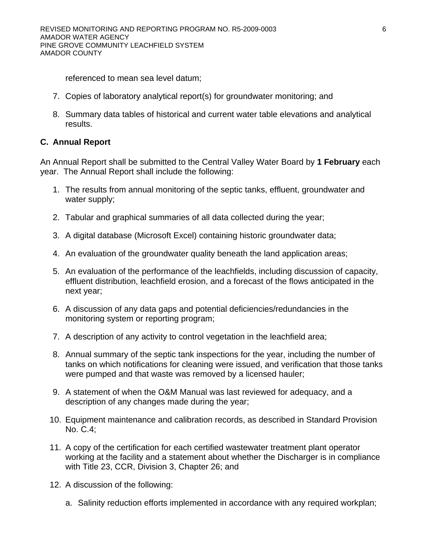referenced to mean sea level datum;

- 7. Copies of laboratory analytical report(s) for groundwater monitoring; and
- 8. Summary data tables of historical and current water table elevations and analytical results.

# **C. Annual Report**

An Annual Report shall be submitted to the Central Valley Water Board by **1 February** each year. The Annual Report shall include the following:

- 1. The results from annual monitoring of the septic tanks, effluent, groundwater and water supply;
- 2. Tabular and graphical summaries of all data collected during the year;
- 3. A digital database (Microsoft Excel) containing historic groundwater data;
- 4. An evaluation of the groundwater quality beneath the land application areas;
- 5. An evaluation of the performance of the leachfields, including discussion of capacity, effluent distribution, leachfield erosion, and a forecast of the flows anticipated in the next year;
- 6. A discussion of any data gaps and potential deficiencies/redundancies in the monitoring system or reporting program;
- 7. A description of any activity to control vegetation in the leachfield area;
- 8. Annual summary of the septic tank inspections for the year, including the number of tanks on which notifications for cleaning were issued, and verification that those tanks were pumped and that waste was removed by a licensed hauler;
- 9. A statement of when the O&M Manual was last reviewed for adequacy, and a description of any changes made during the year;
- 10. Equipment maintenance and calibration records, as described in Standard Provision No. C.4;
- 11. A copy of the certification for each certified wastewater treatment plant operator working at the facility and a statement about whether the Discharger is in compliance with Title 23, CCR, Division 3, Chapter 26; and
- 12. A discussion of the following:
	- a. Salinity reduction efforts implemented in accordance with any required workplan;